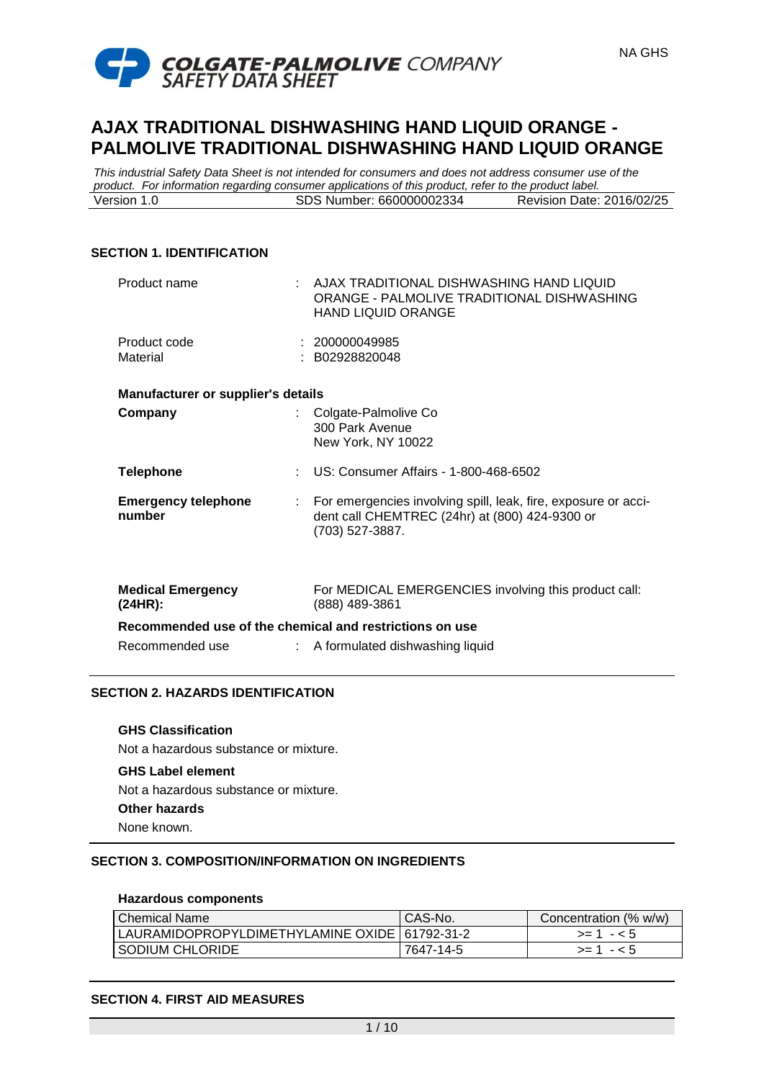

*This industrial Safety Data Sheet is not intended for consumers and does not address consumer use of the product. For information regarding consumer applications of this product, refer to the product label.* Version 1.0 SDS Number: 660000002334 Revision Date: 2016/02/25

### **SECTION 1. IDENTIFICATION**

| Product name                                            | : AJAX TRADITIONAL DISHWASHING HAND LIQUID<br>ORANGE - PALMOLIVE TRADITIONAL DISHWASHING<br><b>HAND LIQUID ORANGE</b>                 |
|---------------------------------------------------------|---------------------------------------------------------------------------------------------------------------------------------------|
| Product code<br>Material                                | : 200000049985<br>: B02928820048                                                                                                      |
| <b>Manufacturer or supplier's details</b>               |                                                                                                                                       |
| Company                                                 | : Colgate-Palmolive Co<br>300 Park Avenue<br>New York, NY 10022                                                                       |
| <b>Telephone</b>                                        | : US: Consumer Affairs - 1-800-468-6502                                                                                               |
| <b>Emergency telephone</b><br>number                    | : For emergencies involving spill, leak, fire, exposure or acci-<br>dent call CHEMTREC (24hr) at (800) 424-9300 or<br>(703) 527-3887. |
| <b>Medical Emergency</b><br>(24HR):                     | For MEDICAL EMERGENCIES involving this product call:<br>(888) 489-3861                                                                |
| Recommended use of the chemical and restrictions on use |                                                                                                                                       |
| Recommended use                                         | : A formulated dishwashing liquid                                                                                                     |

# **SECTION 2. HAZARDS IDENTIFICATION**

**GHS Classification** Not a hazardous substance or mixture.

# **GHS Label element**

Not a hazardous substance or mixture.

**Other hazards**

None known.

# **SECTION 3. COMPOSITION/INFORMATION ON INGREDIENTS**

### **Hazardous components**

| Chemical Name                                   | CAS-No.   | Concentration (% w/w) |
|-------------------------------------------------|-----------|-----------------------|
| LAURAMIDOPROPYLDIMETHYLAMINE OXIDE   61792-31-2 |           | $>1 - 5$              |
| SODIUM CHLORIDE                                 | 7647-14-5 | $>= 1 - 5$            |

### **SECTION 4. FIRST AID MEASURES**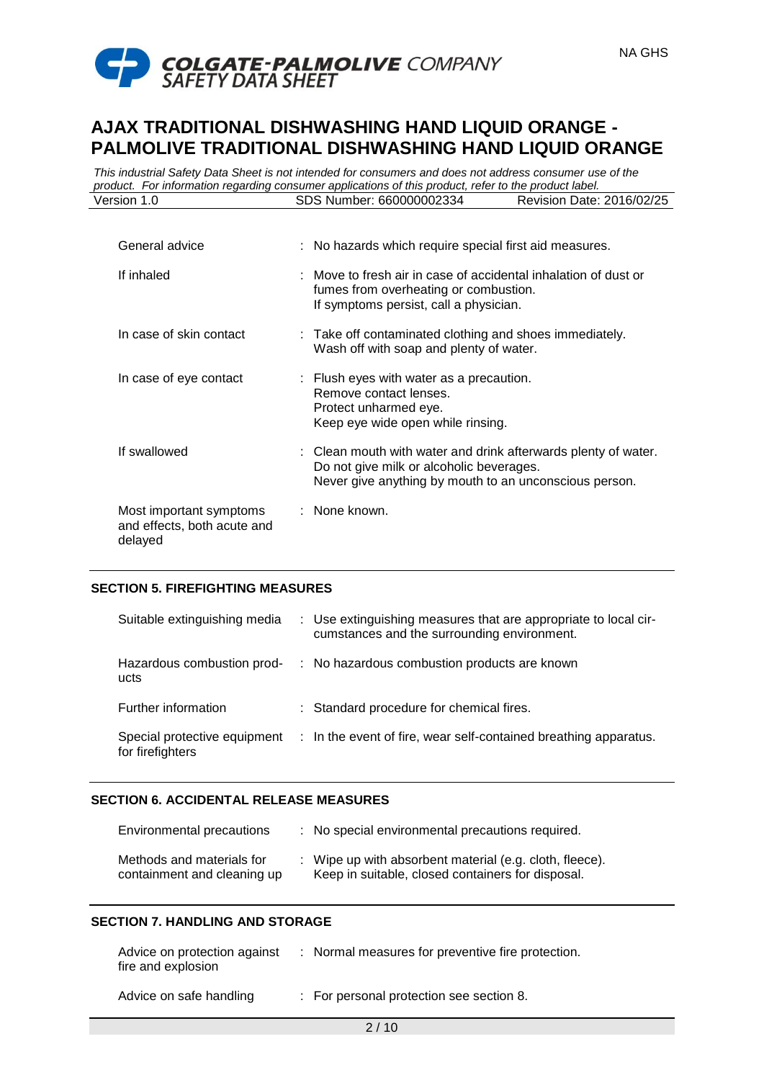

*This industrial Safety Data Sheet is not intended for consumers and does not address consumer use of the product. For information regarding consumer applications of this product, refer to the product label.* Version 1.0 SDS Number: 660000002334 Revision Date: 2016/02/25

| General advice                                                    | : No hazards which require special first aid measures.                                                                                                               |
|-------------------------------------------------------------------|----------------------------------------------------------------------------------------------------------------------------------------------------------------------|
| If inhaled                                                        | : Move to fresh air in case of accidental inhalation of dust or<br>fumes from overheating or combustion.<br>If symptoms persist, call a physician.                   |
| In case of skin contact                                           | : Take off contaminated clothing and shoes immediately.<br>Wash off with soap and plenty of water.                                                                   |
| In case of eye contact                                            | : Flush eyes with water as a precaution.<br>Remove contact lenses.<br>Protect unharmed eye.<br>Keep eye wide open while rinsing.                                     |
| If swallowed                                                      | : Clean mouth with water and drink afterwards plenty of water.<br>Do not give milk or alcoholic beverages.<br>Never give anything by mouth to an unconscious person. |
| Most important symptoms<br>and effects, both acute and<br>delayed | : None known.                                                                                                                                                        |

### **SECTION 5. FIREFIGHTING MEASURES**

| Suitable extinguishing media                     | : Use extinguishing measures that are appropriate to local cir-<br>cumstances and the surrounding environment. |
|--------------------------------------------------|----------------------------------------------------------------------------------------------------------------|
| Hazardous combustion prod-<br>ucts               | : No hazardous combustion products are known                                                                   |
| Further information                              | : Standard procedure for chemical fires.                                                                       |
| Special protective equipment<br>for firefighters | : In the event of fire, wear self-contained breathing apparatus.                                               |

### **SECTION 6. ACCIDENTAL RELEASE MEASURES**

| Environmental precautions                                | : No special environmental precautions required.                                                             |
|----------------------------------------------------------|--------------------------------------------------------------------------------------------------------------|
| Methods and materials for<br>containment and cleaning up | : Wipe up with absorbent material (e.g. cloth, fleece).<br>Keep in suitable, closed containers for disposal. |

# **SECTION 7. HANDLING AND STORAGE**

| Advice on protection against<br>fire and explosion | : Normal measures for preventive fire protection. |
|----------------------------------------------------|---------------------------------------------------|
| Advice on safe handling                            | : For personal protection see section 8.          |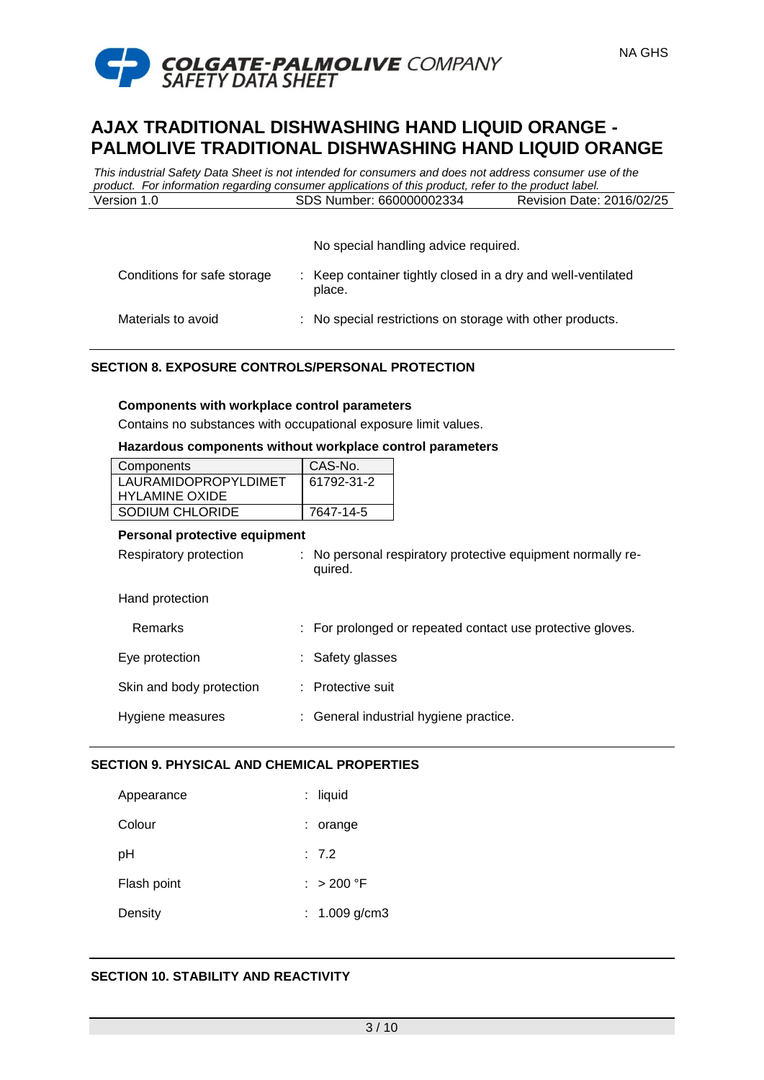

*This industrial Safety Data Sheet is not intended for consumers and does not address consumer use of the product. For information regarding consumer applications of this product, refer to the product label.* Version 1.0 SDS Number: 660000002334 Revision Date: 2016/02/25

No special handling advice required.

NA GHS

| Conditions for safe storage | : Keep container tightly closed in a dry and well-ventilated<br>place. |
|-----------------------------|------------------------------------------------------------------------|
| Materials to avoid          | : No special restrictions on storage with other products.              |

# **SECTION 8. EXPOSURE CONTROLS/PERSONAL PROTECTION**

#### **Components with workplace control parameters**

Contains no substances with occupational exposure limit values.

### **Hazardous components without workplace control parameters**

| Components            | CAS-No.    |
|-----------------------|------------|
| LAURAMIDOPROPYLDIMET  | 61792-31-2 |
| <b>HYLAMINE OXIDE</b> |            |
| SODIUM CHLORIDE       | 7647-14-5  |

#### **Personal protective equipment**

| Respiratory protection   | : No personal respiratory protective equipment normally re-<br>quired. |
|--------------------------|------------------------------------------------------------------------|
| Hand protection          |                                                                        |
| Remarks                  | : For prolonged or repeated contact use protective gloves.             |
| Eye protection           | : Safety glasses                                                       |
| Skin and body protection | : Protective suit                                                      |
| Hygiene measures         | : General industrial hygiene practice.                                 |

### **SECTION 9. PHYSICAL AND CHEMICAL PROPERTIES**

| Appearance  | : liquid        |
|-------------|-----------------|
| Colour      | : orange        |
| pH          | : 7.2           |
| Flash point | : $> 200 °F$    |
| Density     | : $1.009$ g/cm3 |

# **SECTION 10. STABILITY AND REACTIVITY**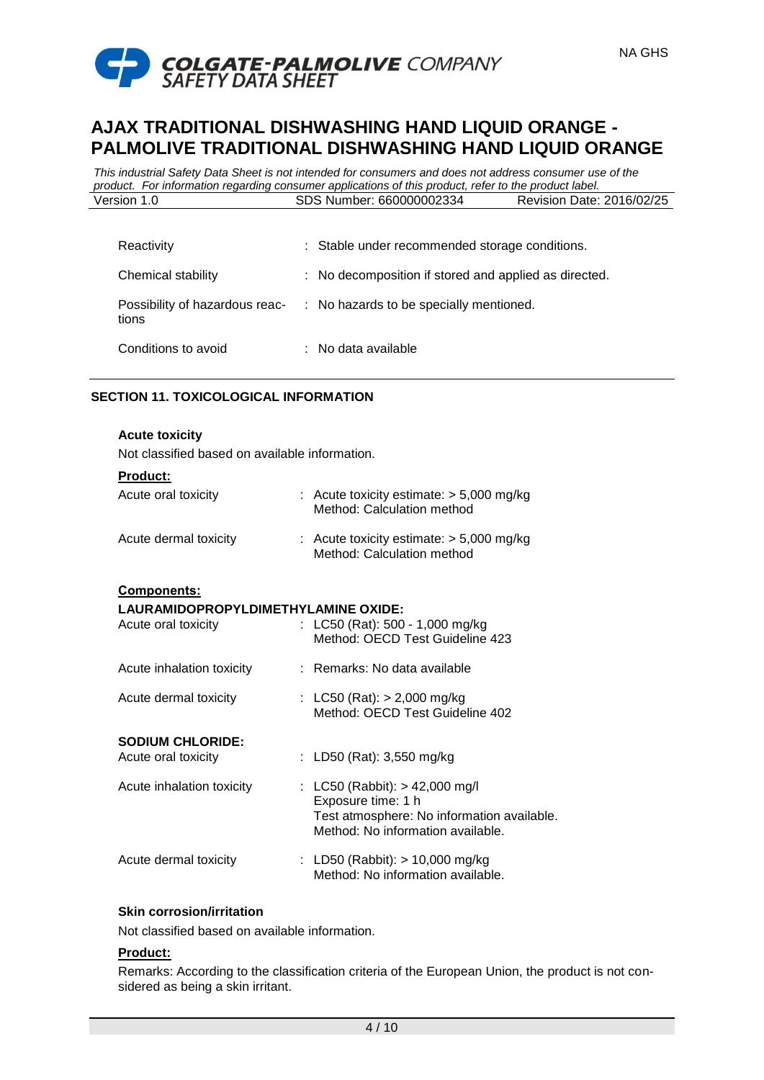



*This industrial Safety Data Sheet is not intended for consumers and does not address consumer use of the product. For information regarding consumer applications of this product, refer to the product label.* Version 1.0 SDS Number: 660000002334 Revision Date: 2016/02/25

| Reactivity          | : Stable under recommended storage conditions.                         |
|---------------------|------------------------------------------------------------------------|
| Chemical stability  | : No decomposition if stored and applied as directed.                  |
| tions               | Possibility of hazardous reac- : No hazards to be specially mentioned. |
| Conditions to avoid | $\therefore$ No data available                                         |

# **SECTION 11. TOXICOLOGICAL INFORMATION**

### **Acute toxicity**

Not classified based on available information.

| Product:                                       |                                                                                                                                           |
|------------------------------------------------|-------------------------------------------------------------------------------------------------------------------------------------------|
| Acute oral toxicity                            | : Acute toxicity estimate: $> 5,000$ mg/kg<br>Method: Calculation method                                                                  |
| Acute dermal toxicity                          | : Acute toxicity estimate: $> 5,000$ mg/kg<br>Method: Calculation method                                                                  |
| <b>Components:</b>                             |                                                                                                                                           |
| LAURAMIDOPROPYLDIMETHYLAMINE OXIDE:            |                                                                                                                                           |
| Acute oral toxicity                            | : LC50 (Rat): 500 - 1,000 mg/kg<br>Method: OECD Test Guideline 423                                                                        |
| Acute inhalation toxicity                      | Remarks: No data available                                                                                                                |
| Acute dermal toxicity                          | : LC50 (Rat): $> 2,000$ mg/kg<br>Method: OECD Test Guideline 402                                                                          |
|                                                |                                                                                                                                           |
| <b>SODIUM CHLORIDE:</b><br>Acute oral toxicity | : LD50 (Rat): 3,550 mg/kg                                                                                                                 |
| Acute inhalation toxicity                      | : LC50 (Rabbit): $> 42,000$ mg/l<br>Exposure time: 1 h<br>Test atmosphere: No information available.<br>Method: No information available. |
| Acute dermal toxicity                          | : LD50 (Rabbit): $> 10,000$ mg/kg<br>Method: No information available.                                                                    |

### **Skin corrosion/irritation**

Not classified based on available information.

### **Product:**

Remarks: According to the classification criteria of the European Union, the product is not considered as being a skin irritant.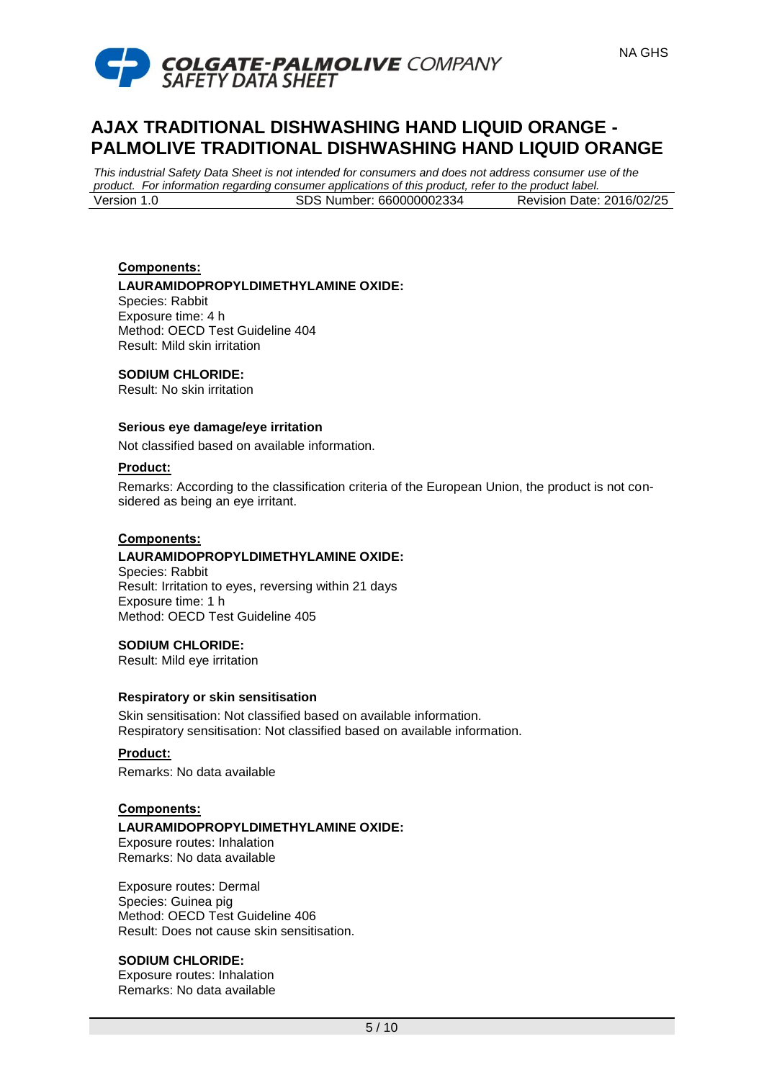

*This industrial Safety Data Sheet is not intended for consumers and does not address consumer use of the product. For information regarding consumer applications of this product, refer to the product label.* Version 1.0 SDS Number: 660000002334 Revision Date: 2016/02/25

### **Components: LAURAMIDOPROPYLDIMETHYLAMINE OXIDE:**

Species: Rabbit Exposure time: 4 h Method: OECD Test Guideline 404 Result: Mild skin irritation

# **SODIUM CHLORIDE:**

Result: No skin irritation

# **Serious eye damage/eye irritation**

Not classified based on available information.

### **Product:**

Remarks: According to the classification criteria of the European Union, the product is not considered as being an eye irritant.

### **Components:**

# **LAURAMIDOPROPYLDIMETHYLAMINE OXIDE:**

Species: Rabbit Result: Irritation to eyes, reversing within 21 days Exposure time: 1 h Method: OECD Test Guideline 405

# **SODIUM CHLORIDE:**

Result: Mild eye irritation

### **Respiratory or skin sensitisation**

Skin sensitisation: Not classified based on available information. Respiratory sensitisation: Not classified based on available information.

### **Product:**

Remarks: No data available

### **Components:**

### **LAURAMIDOPROPYLDIMETHYLAMINE OXIDE:**

Exposure routes: Inhalation Remarks: No data available

Exposure routes: Dermal Species: Guinea pig Method: OECD Test Guideline 406 Result: Does not cause skin sensitisation.

# **SODIUM CHLORIDE:**

Exposure routes: Inhalation Remarks: No data available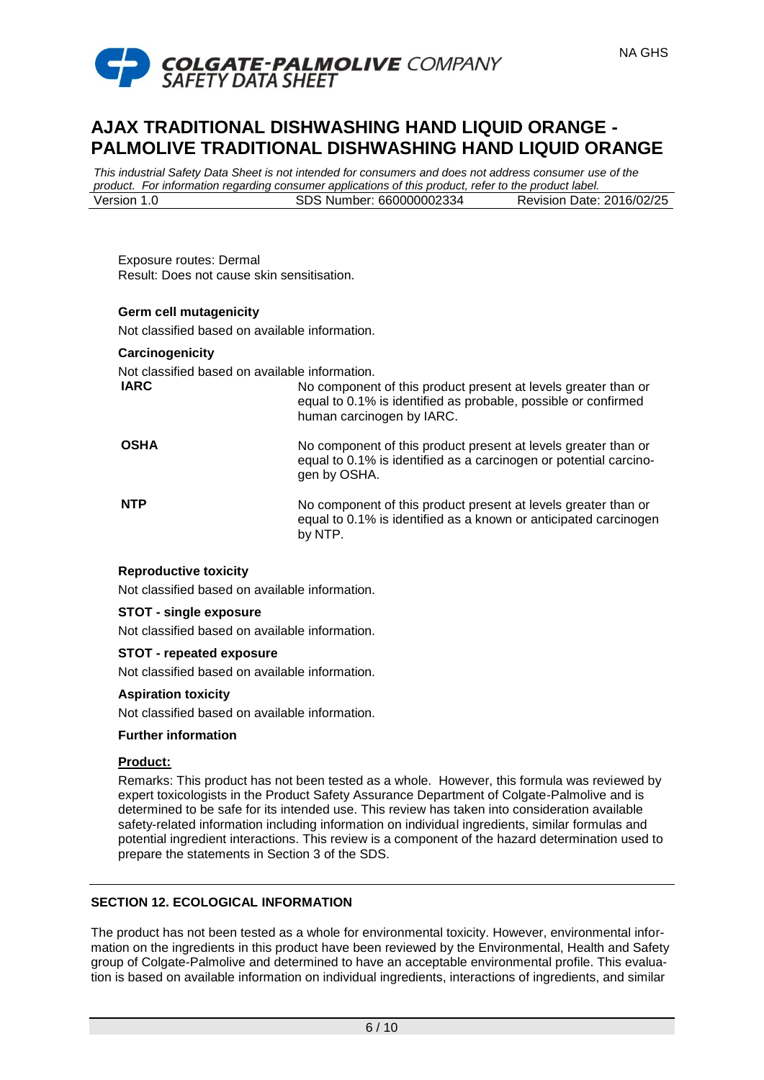

*This industrial Safety Data Sheet is not intended for consumers and does not address consumer use of the product. For information regarding consumer applications of this product, refer to the product label.* Version 1.0 SDS Number: 660000002334 Revision Date: 2016/02/25

Exposure routes: Dermal Result: Does not cause skin sensitisation.

# **Germ cell mutagenicity**

Not classified based on available information.

#### **Carcinogenicity**

Not classified based on available information.<br> **IARC** No componen

No component of this product present at levels greater than or equal to 0.1% is identified as probable, possible or confirmed human carcinogen by IARC.

# **OSHA** No component of this product present at levels greater than or equal to 0.1% is identified as a carcinogen or potential carcinogen by OSHA.

**NTP** No component of this product present at levels greater than or equal to 0.1% is identified as a known or anticipated carcinogen by NTP.

# **Reproductive toxicity**

Not classified based on available information.

### **STOT - single exposure**

Not classified based on available information.

### **STOT - repeated exposure**

Not classified based on available information.

### **Aspiration toxicity**

Not classified based on available information.

### **Further information**

### **Product:**

Remarks: This product has not been tested as a whole. However, this formula was reviewed by expert toxicologists in the Product Safety Assurance Department of Colgate-Palmolive and is determined to be safe for its intended use. This review has taken into consideration available safety-related information including information on individual ingredients, similar formulas and potential ingredient interactions. This review is a component of the hazard determination used to prepare the statements in Section 3 of the SDS.

# **SECTION 12. ECOLOGICAL INFORMATION**

The product has not been tested as a whole for environmental toxicity. However, environmental information on the ingredients in this product have been reviewed by the Environmental, Health and Safety group of Colgate-Palmolive and determined to have an acceptable environmental profile. This evaluation is based on available information on individual ingredients, interactions of ingredients, and similar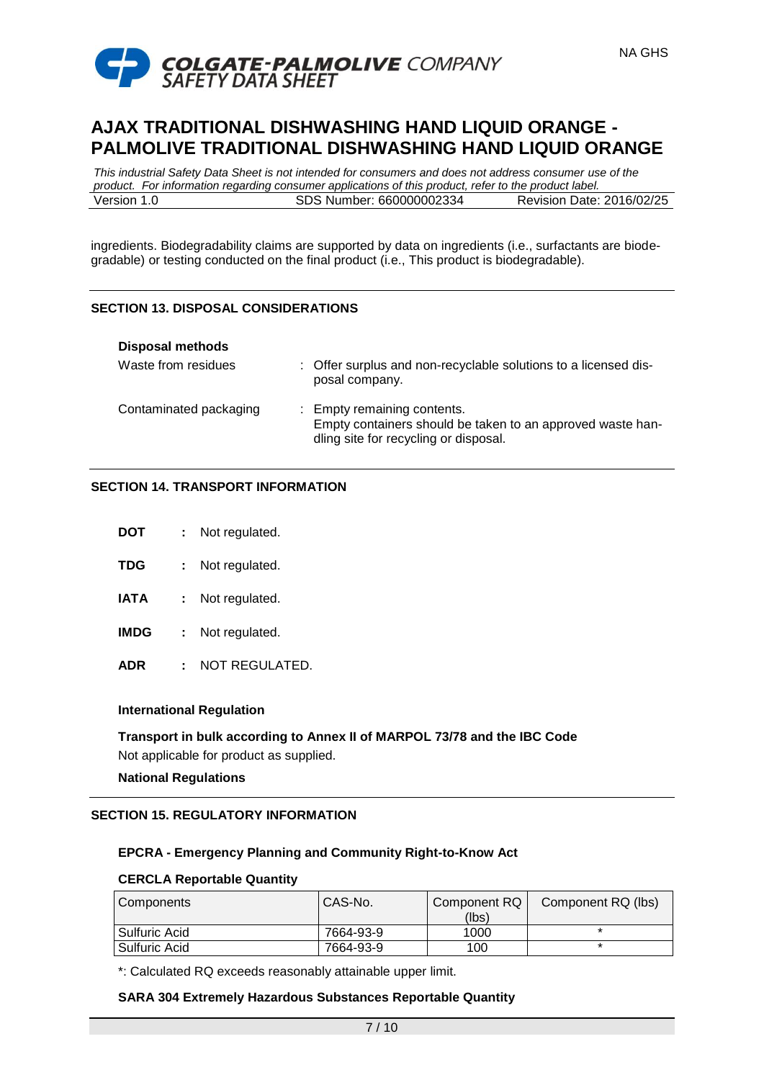



*This industrial Safety Data Sheet is not intended for consumers and does not address consumer use of the product. For information regarding consumer applications of this product, refer to the product label.* Version 1.0 SDS Number: 660000002334 Revision Date: 2016/02/25

ingredients. Biodegradability claims are supported by data on ingredients (i.e., surfactants are biodegradable) or testing conducted on the final product (i.e., This product is biodegradable).

# **SECTION 13. DISPOSAL CONSIDERATIONS**

| <b>Disposal methods</b> |                                                                                                                                    |
|-------------------------|------------------------------------------------------------------------------------------------------------------------------------|
| Waste from residues     | : Offer surplus and non-recyclable solutions to a licensed dis-<br>posal company.                                                  |
| Contaminated packaging  | : Empty remaining contents.<br>Empty containers should be taken to an approved waste han-<br>dling site for recycling or disposal. |

# **SECTION 14. TRANSPORT INFORMATION**

| DOT         | Not regulated. |
|-------------|----------------|
| TDG         | Not regulated. |
| <b>IATA</b> | Not regulated. |
| IMDG        | Not regulated. |

**ADR :** NOT REGULATED.

# **International Regulation**

**Transport in bulk according to Annex II of MARPOL 73/78 and the IBC Code** Not applicable for product as supplied.

# **National Regulations**

# **SECTION 15. REGULATORY INFORMATION**

# **EPCRA - Emergency Planning and Community Right-to-Know Act**

### **CERCLA Reportable Quantity**

| I Components    | CAS-No.   | Component RQ | Component RQ (lbs) |
|-----------------|-----------|--------------|--------------------|
|                 |           | (lbs)        |                    |
| I Sulfuric Acid | 7664-93-9 | 1000         |                    |
| Sulfuric Acid   | 7664-93-9 | 100          |                    |

\*: Calculated RQ exceeds reasonably attainable upper limit.

### **SARA 304 Extremely Hazardous Substances Reportable Quantity**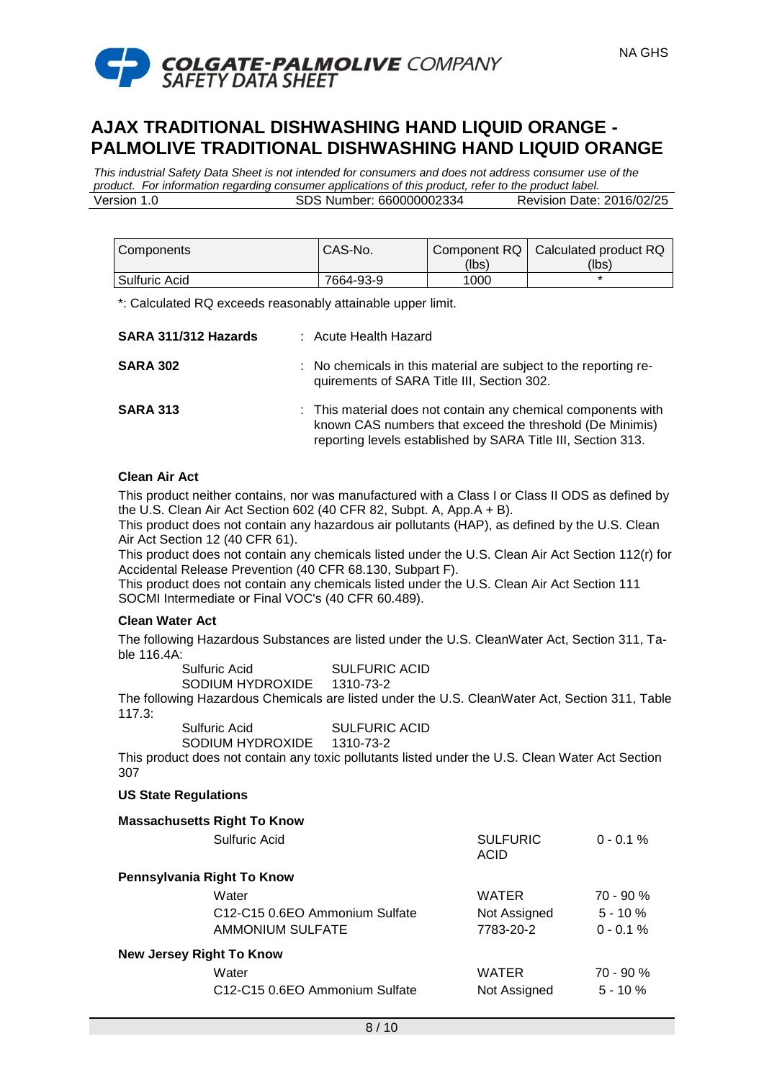

NA GHS

*This industrial Safety Data Sheet is not intended for consumers and does not address consumer use of the product. For information regarding consumer applications of this product, refer to the product label.* Version 1.0 SDS Number: 660000002334 Revision Date: 2016/02/25

| Components    | CAS-No.   | (lbs) | Component RQ   Calculated product RQ<br>(lbs) |
|---------------|-----------|-------|-----------------------------------------------|
| Sulfuric Acid | 7664-93-9 | 1000  |                                               |

\*: Calculated RQ exceeds reasonably attainable upper limit.

| SARA 311/312 Hazards | : Acute Health Hazard                                                                                                                                                                     |
|----------------------|-------------------------------------------------------------------------------------------------------------------------------------------------------------------------------------------|
| <b>SARA 302</b>      | : No chemicals in this material are subject to the reporting re-<br>quirements of SARA Title III, Section 302.                                                                            |
| <b>SARA 313</b>      | : This material does not contain any chemical components with<br>known CAS numbers that exceed the threshold (De Minimis)<br>reporting levels established by SARA Title III, Section 313. |

# **Clean Air Act**

This product neither contains, nor was manufactured with a Class I or Class II ODS as defined by the U.S. Clean Air Act Section 602 (40 CFR 82, Subpt. A, App.A + B).

This product does not contain any hazardous air pollutants (HAP), as defined by the U.S. Clean Air Act Section 12 (40 CFR 61).

This product does not contain any chemicals listed under the U.S. Clean Air Act Section 112(r) for Accidental Release Prevention (40 CFR 68.130, Subpart F).

This product does not contain any chemicals listed under the U.S. Clean Air Act Section 111 SOCMI Intermediate or Final VOC's (40 CFR 60.489).

### **Clean Water Act**

The following Hazardous Substances are listed under the U.S. CleanWater Act, Section 311, Table 116.4A:

| Sulfuric Acid    | <b>SULFURIC ACID</b> |
|------------------|----------------------|
| SODIUM HYDROXIDE | 1310-73-2            |

The following Hazardous Chemicals are listed under the U.S. CleanWater Act, Section 311, Table 117.3:

Sulfuric Acid SULFURIC ACID SODIUM HYDROXIDE 1310-73-2

This product does not contain any toxic pollutants listed under the U.S. Clean Water Act Section 307

### **US State Regulations**

|                                 | <b>Massachusetts Right To Know</b>                      |                         |             |
|---------------------------------|---------------------------------------------------------|-------------------------|-------------|
|                                 | Sulfuric Acid                                           | <b>SULFURIC</b><br>ACID | $0 - 0.1 %$ |
| Pennsylvania Right To Know      |                                                         |                         |             |
|                                 | Water                                                   | <b>WATER</b>            | $70 - 90 %$ |
|                                 | C <sub>12</sub> -C <sub>15</sub> 0.6EO Ammonium Sulfate | Not Assigned            | $5 - 10 \%$ |
|                                 | AMMONIUM SULFATE                                        | 7783-20-2               | $0 - 0.1 %$ |
| <b>New Jersey Right To Know</b> |                                                         |                         |             |
|                                 | Water                                                   | <b>WATER</b>            | $70 - 90 %$ |
|                                 | C12-C15 0.6EO Ammonium Sulfate                          | Not Assigned            | $5 - 10 \%$ |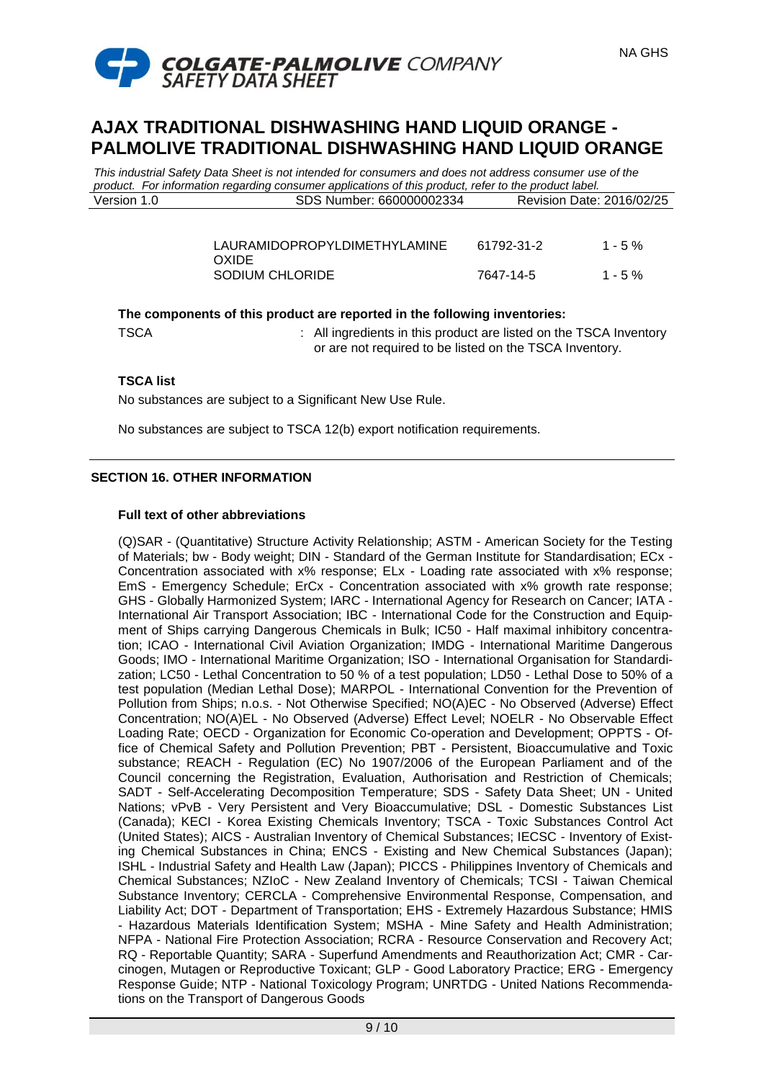

*This industrial Safety Data Sheet is not intended for consumers and does not address consumer use of the product. For information regarding consumer applications of this product, refer to the product label.* Version 1.0 SDS Number: 660000002334 Revision Date: 2016/02/25

| LAURAMIDOPROPYLDIMETHYLAMINE | 61792-31-2 | $1 - 5\%$ |
|------------------------------|------------|-----------|
| <b>OXIDE</b>                 |            |           |
| SODIUM CHLORIDE              | 7647-14-5  | $1 - 5\%$ |

### **The components of this product are reported in the following inventories:**

TSCA *EXECA* : All ingredients in this product are listed on the TSCA Inventory or are not required to be listed on the TSCA Inventory.

# **TSCA list**

No substances are subject to a Significant New Use Rule.

No substances are subject to TSCA 12(b) export notification requirements.

# **SECTION 16. OTHER INFORMATION**

### **Full text of other abbreviations**

(Q)SAR - (Quantitative) Structure Activity Relationship; ASTM - American Society for the Testing of Materials; bw - Body weight; DIN - Standard of the German Institute for Standardisation; ECx - Concentration associated with x% response; ELx - Loading rate associated with x% response; EmS - Emergency Schedule; ErCx - Concentration associated with x% growth rate response; GHS - Globally Harmonized System; IARC - International Agency for Research on Cancer; IATA - International Air Transport Association; IBC - International Code for the Construction and Equipment of Ships carrying Dangerous Chemicals in Bulk; IC50 - Half maximal inhibitory concentration; ICAO - International Civil Aviation Organization; IMDG - International Maritime Dangerous Goods; IMO - International Maritime Organization; ISO - International Organisation for Standardization; LC50 - Lethal Concentration to 50 % of a test population; LD50 - Lethal Dose to 50% of a test population (Median Lethal Dose); MARPOL - International Convention for the Prevention of Pollution from Ships; n.o.s. - Not Otherwise Specified; NO(A)EC - No Observed (Adverse) Effect Concentration; NO(A)EL - No Observed (Adverse) Effect Level; NOELR - No Observable Effect Loading Rate; OECD - Organization for Economic Co-operation and Development; OPPTS - Office of Chemical Safety and Pollution Prevention; PBT - Persistent, Bioaccumulative and Toxic substance; REACH - Regulation (EC) No 1907/2006 of the European Parliament and of the Council concerning the Registration, Evaluation, Authorisation and Restriction of Chemicals; SADT - Self-Accelerating Decomposition Temperature; SDS - Safety Data Sheet; UN - United Nations; vPvB - Very Persistent and Very Bioaccumulative; DSL - Domestic Substances List (Canada); KECI - Korea Existing Chemicals Inventory; TSCA - Toxic Substances Control Act (United States); AICS - Australian Inventory of Chemical Substances; IECSC - Inventory of Existing Chemical Substances in China; ENCS - Existing and New Chemical Substances (Japan); ISHL - Industrial Safety and Health Law (Japan); PICCS - Philippines Inventory of Chemicals and Chemical Substances; NZIoC - New Zealand Inventory of Chemicals; TCSI - Taiwan Chemical Substance Inventory; CERCLA - Comprehensive Environmental Response, Compensation, and Liability Act; DOT - Department of Transportation; EHS - Extremely Hazardous Substance; HMIS - Hazardous Materials Identification System; MSHA - Mine Safety and Health Administration; NFPA - National Fire Protection Association; RCRA - Resource Conservation and Recovery Act; RQ - Reportable Quantity; SARA - Superfund Amendments and Reauthorization Act; CMR - Carcinogen, Mutagen or Reproductive Toxicant; GLP - Good Laboratory Practice; ERG - Emergency Response Guide; NTP - National Toxicology Program; UNRTDG - United Nations Recommendations on the Transport of Dangerous Goods